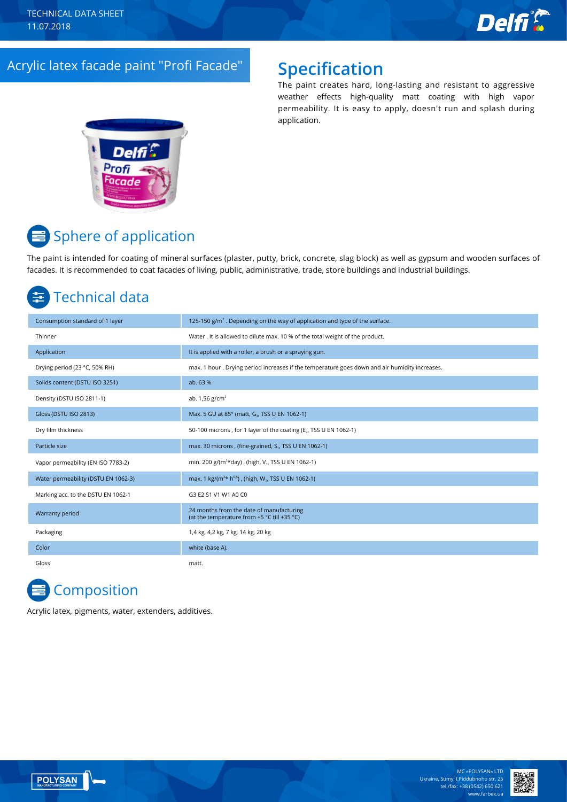

## Acrylic latex faсade paint "Profi Faсade" **Specification**

The paint creates hard, long-lasting and resistant to aggressive weather effects high-quality matt coating with high vapor permeability. It is easy to apply, doesn't run and splash during application.



# <mark>≡</mark> Sphere of application

The paint is intended for coating of mineral surfaces (plaster, putty, brick, concrete, slag block) as well as gypsum and wooden surfaces of facades. It is recommended to coat facades of living, public, administrative, trade, store buildings and industrial buildings.

## Technical data

| Consumption standard of 1 layer     | 125-150 $g/m2$ . Depending on the way of application and type of the surface.                 |
|-------------------------------------|-----------------------------------------------------------------------------------------------|
| Thinner                             | Water . It is allowed to dilute max. 10 % of the total weight of the product.                 |
| Application                         | It is applied with a roller, a brush or a spraying gun.                                       |
| Drying period (23 °C, 50% RH)       | max. 1 hour. Drying period increases if the temperature goes down and air humidity increases. |
| Solids content (DSTU ISO 3251)      | ab. 63 %                                                                                      |
| Density (DSTU ISO 2811-1)           | ab. $1,56$ g/cm <sup>3</sup>                                                                  |
| Gloss (DSTU ISO 2813)               | Max. 5 GU at 85° (matt, G <sub>3</sub> , TSS U EN 1062-1)                                     |
| Dry film thickness                  | 50-100 microns, for 1 layer of the coating (E <sub>2</sub> , TSS U EN 1062-1)                 |
| Particle size                       | max. 30 microns, (fine-grained, S <sub>1</sub> , TSS U EN 1062-1)                             |
| Vapor permeability (EN ISO 7783-2)  | min. 200 g/(m <sup>2*</sup> day), (high, V <sub>1</sub> , TSS U EN 1062-1)                    |
| Water permeability (DSTU EN 1062-3) | max. 1 kg/( $m^{2*}$ h <sup>0,5</sup> ), (high, W <sub>1</sub> , TSS U EN 1062-1)             |
| Marking acc. to the DSTU EN 1062-1  | G3 E2 S1 V1 W1 A0 C0                                                                          |
| Warranty period                     | 24 months from the date of manufacturing<br>(at the temperature from +5 °C till +35 °C)       |
| Packaging                           | 1,4 kg, 4,2 kg, 7 kg, 14 kg, 20 kg                                                            |
| Color                               | white (base A).                                                                               |
| Gloss                               | matt.                                                                                         |

## **Composition**

Acrylic latex, pigments, water, extenders, additives.